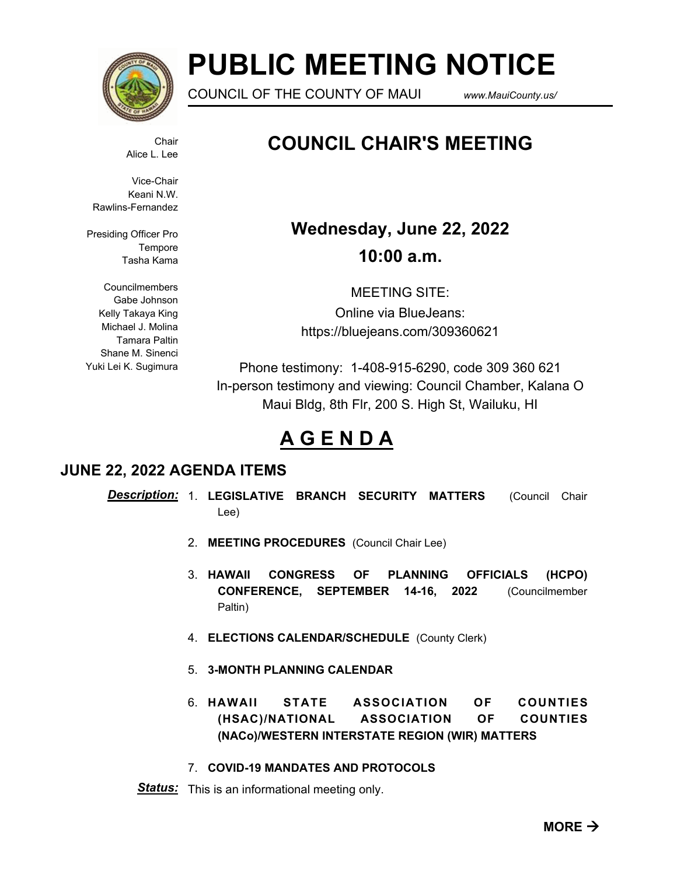

# **PUBLIC MEETING NOTICE**

COUNCIL OF THE COUNTY OF MAUI *www.MauiCounty.us/*

**Chair** Alice L. Lee

Vice-Chair Keani N.W. Rawlins-Fernandez

Presiding Officer Pro Tempore Tasha Kama

Councilmembers Gabe Johnson Kelly Takaya King Michael J. Molina Tamara Paltin Shane M. Sinenci Yuki Lei K. Sugimura

# **COUNCIL CHAIR'S MEETING**

# **Wednesday, June 22, 2022 10:00 a.m.**

MEETING SITE: Online via BlueJeans: https://bluejeans.com/309360621

Phone testimony: 1-408-915-6290, code 309 360 621 In-person testimony and viewing: Council Chamber, Kalana O Maui Bldg, 8th Flr, 200 S. High St, Wailuku, HI

# **A G E N D A**

# **JUNE 22, 2022 AGENDA ITEMS**

- 1. **LEGISLATIVE BRANCH SECURITY MATTERS** (Council Chair *Description:* Lee)
	- 2. **MEETING PROCEDURES** (Council Chair Lee)
	- 3. **HAWAII CONGRESS OF PLANNING OFFICIALS (HCPO) CONFERENCE, SEPTEMBER 14-16, 2022** (Councilmember Paltin)
	- 4. **ELECTIONS CALENDAR/SCHEDULE** (County Clerk)
	- 5. **3-MONTH PLANNING CALENDAR**
	- 6. **HAWAII STATE ASSOCIATION OF COUNTIES (HSAC)/NATIONAL ASSOCIATION OF COUNTIES (NACo)/WESTERN INTERSTATE REGION (WIR) MATTERS**

## 7. **COVID-19 MANDATES AND PROTOCOLS**

*Status:* This is an informational meeting only.